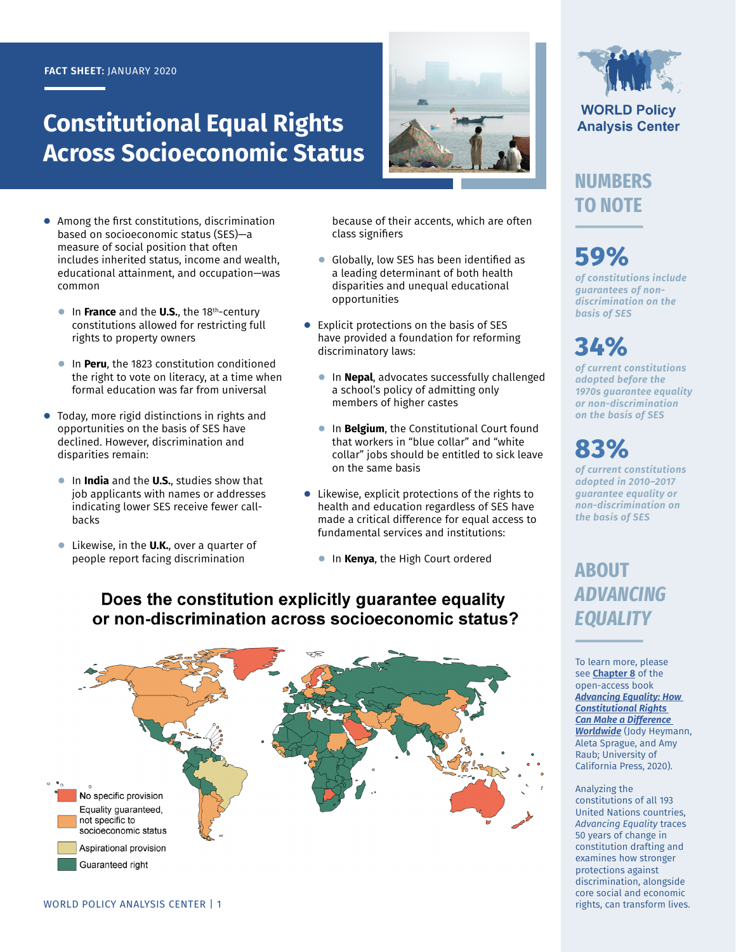#### **FACT SHEET:** JANUARY 2020

# **Constitutional Equal Rights Across Socioeconomic Status**



- **●** Among the first constitutions, discrimination based on socioeconomic status (SES)—a measure of social position that often includes inherited status, income and wealth, educational attainment, and occupation—was common
	- **●** In **France** and the **U.S.**, the 18th-century constitutions allowed for restricting full rights to property owners
	- **●** In **Peru**, the 1823 constitution conditioned the right to vote on literacy, at a time when formal education was far from universal
- **●** Today, more rigid distinctions in rights and opportunities on the basis of SES have declined. However, discrimination and disparities remain:
	- **●** In **India** and the **U.S.**, studies show that job applicants with names or addresses indicating lower SES receive fewer callbacks
	- **●** Likewise, in the **U.K.**, over a quarter of people report facing discrimination

because of their accents, which are often class signifiers

- **●** Globally, low SES has been identified as a leading determinant of both health disparities and unequal educational opportunities
- **●** Explicit protections on the basis of SES have provided a foundation for reforming discriminatory laws:
	- **●** In **Nepal**, advocates successfully challenged a school's policy of admitting only members of higher castes
	- **●** In **Belgium**, the Constitutional Court found that workers in "blue collar" and "white collar" jobs should be entitled to sick leave on the same basis
- **●** Likewise, explicit protections of the rights to health and education regardless of SES have made a critical difference for equal access to fundamental services and institutions:
	- **●** In **Kenya**, the High Court ordered

## Does the constitution explicitly guarantee equality or non-discrimination across socioeconomic status?





**WORLD Policy Analysis Center** 

## **NUMBERS TO NOTE**

# **59%**

*of constitutions include guarantees of nondiscrimination on the basis of SES*

# **34%**

*of current constitutions adopted before the 1970s guarantee equality or non-discrimination on the basis of SES*

# **83%**

*of current constitutions adopted in 2010–2017 guarantee equality or non-discrimination on the basis of SES*

## **ABOUT**  *ADVANCING EQUALITY*

To learn more, please see **[Chapter 8](https://doi.org/10.1525/luminos.81.i)** of the open-access book *[Advancing Equality: How](https://doi.org/10.1525/luminos.81)  [Constitutional Rights](https://doi.org/10.1525/luminos.81)  [Can Make a Difference](https://doi.org/10.1525/luminos.81)  [Worldwide](https://doi.org/10.1525/luminos.81)* (Jody Heymann, Aleta Sprague, and Amy Raub; University of California Press, 2020).

#### Analyzing the constitutions of all 193 United Nations countries, *Advancing Equality* traces 50 years of change in constitution drafting and examines how stronger protections against discrimination, alongside core social and economic rights, can transform lives.